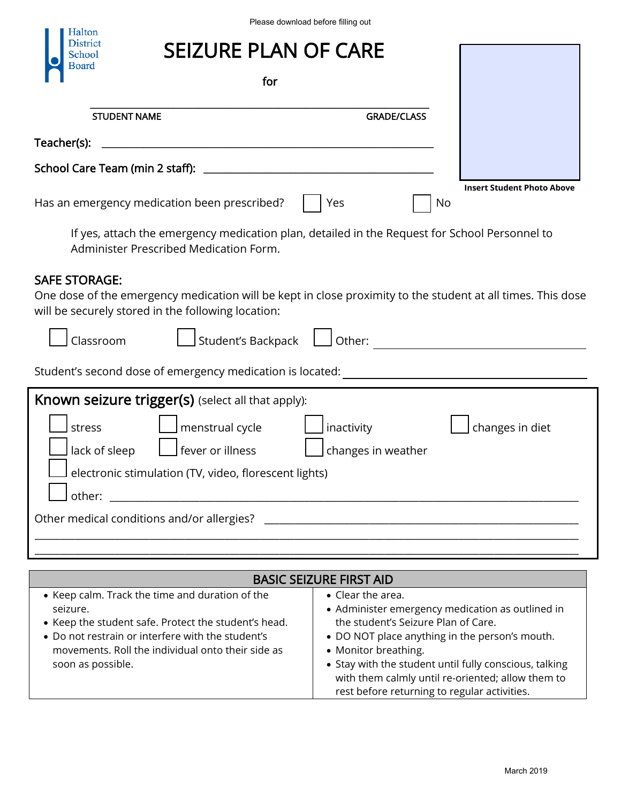## SEIZURE PLAN OF CARE

| for                                          |                    |    |                                   |
|----------------------------------------------|--------------------|----|-----------------------------------|
| <b>STUDENT NAME</b>                          | <b>GRADE/CLASS</b> |    |                                   |
| Teacher(s):                                  |                    |    |                                   |
| School Care Team (min 2 staff):              |                    |    |                                   |
| Has an emergency medication been prescribed? | Yes                | No | <b>Insert Student Photo Above</b> |

## SAFE STORAGE:

| Halton                                                                                                                                                                                 |                                                                                                                                                                                                                                                                                                       |
|----------------------------------------------------------------------------------------------------------------------------------------------------------------------------------------|-------------------------------------------------------------------------------------------------------------------------------------------------------------------------------------------------------------------------------------------------------------------------------------------------------|
| District<br>school                                                                                                                                                                     | <b>SEIZURE PLAN OF CARE</b>                                                                                                                                                                                                                                                                           |
| Board                                                                                                                                                                                  | for                                                                                                                                                                                                                                                                                                   |
| <b>STUDENT NAME</b>                                                                                                                                                                    | <b>GRADE/CLASS</b>                                                                                                                                                                                                                                                                                    |
| Teacher(s):                                                                                                                                                                            |                                                                                                                                                                                                                                                                                                       |
| School Care Team (min 2 staff):                                                                                                                                                        |                                                                                                                                                                                                                                                                                                       |
| Has an emergency medication been prescribed?                                                                                                                                           | <b>Insert Student Photo Above</b><br>Yes<br>No                                                                                                                                                                                                                                                        |
| Administer Prescribed Medication Form.                                                                                                                                                 | If yes, attach the emergency medication plan, detailed in the Request for School Personnel to                                                                                                                                                                                                         |
| <b>SAFE STORAGE:</b><br>will be securely stored in the following location:<br>Classroom                                                                                                | One dose of the emergency medication will be kept in close proximity to the student at all times. This dose<br>Student's Backpack<br>Other:                                                                                                                                                           |
|                                                                                                                                                                                        |                                                                                                                                                                                                                                                                                                       |
| Known seizure trigger(s) (select all that apply):<br>menstrual cycle<br>stress<br>fever or illness<br>lack of sleep<br>electronic stimulation (TV, video, florescent lights)<br>other: | inactivity<br>changes in diet<br>changes in weather                                                                                                                                                                                                                                                   |
| Other medical conditions and/or allergies?                                                                                                                                             |                                                                                                                                                                                                                                                                                                       |
|                                                                                                                                                                                        | <b>BASIC SEIZURE FIRST AID</b>                                                                                                                                                                                                                                                                        |
| • Keep calm. Track the time and duration of the<br>seizure.<br>• Keep the student safe. Protect the student's head.<br>• Do not restrain or interfere with the student's               | • Clear the area.<br>• Administer emergency medication as outlined in<br>the student's Seizure Plan of Care.<br>• DO NOT place anything in the person's mouth.<br>movements. Roll the individual onto their side as<br>• Monitor breathing.<br>• Stay with the student until fully conscious, talking |

| <b>BASIC SEIZURE FIRST AID</b>                                                                                                                                                                                                                     |                                                                                                                                                                                                                                                                                                                                                               |  |  |
|----------------------------------------------------------------------------------------------------------------------------------------------------------------------------------------------------------------------------------------------------|---------------------------------------------------------------------------------------------------------------------------------------------------------------------------------------------------------------------------------------------------------------------------------------------------------------------------------------------------------------|--|--|
| • Keep calm. Track the time and duration of the<br>seizure.<br>• Keep the student safe. Protect the student's head.<br>• Do not restrain or interfere with the student's<br>movements. Roll the individual onto their side as<br>soon as possible. | $\bullet$ Clear the area.<br>• Administer emergency medication as outlined in<br>the student's Seizure Plan of Care.<br>• DO NOT place anything in the person's mouth.<br>• Monitor breathing.<br>• Stay with the student until fully conscious, talking<br>with them calmly until re-oriented; allow them to<br>rest before returning to regular activities. |  |  |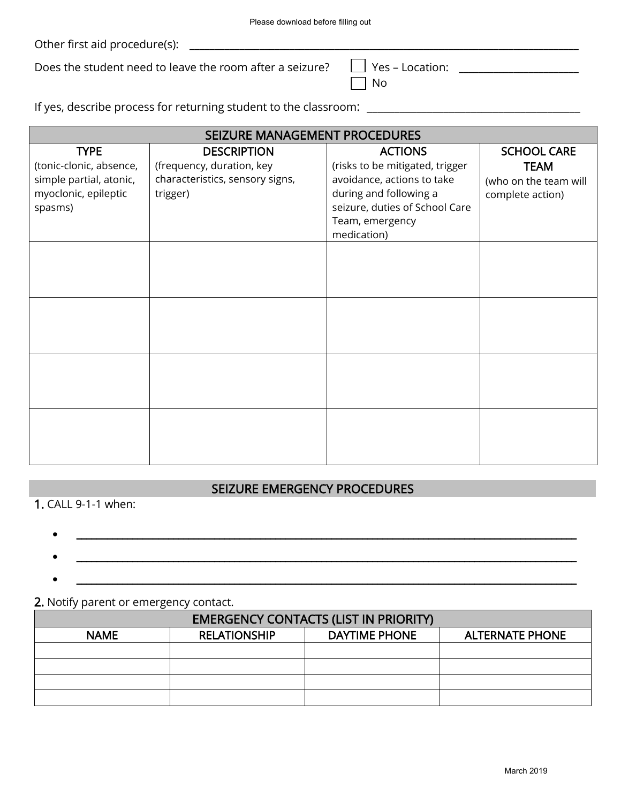| $\overline{\phantom{a}}$ Yes – Locatior |
|-----------------------------------------|
| $\sqrt{ }$ No                           |

|                                                                                                      | Please download before filling out                                                             |                                                                                                                                                                               |                                                                                |
|------------------------------------------------------------------------------------------------------|------------------------------------------------------------------------------------------------|-------------------------------------------------------------------------------------------------------------------------------------------------------------------------------|--------------------------------------------------------------------------------|
|                                                                                                      |                                                                                                |                                                                                                                                                                               |                                                                                |
|                                                                                                      | Does the student need to leave the room after a seizure?                                       | Yes – Location: ______________________<br>No                                                                                                                                  |                                                                                |
|                                                                                                      | If yes, describe process for returning student to the classroom:                               |                                                                                                                                                                               |                                                                                |
|                                                                                                      |                                                                                                |                                                                                                                                                                               |                                                                                |
|                                                                                                      | SEIZURE MANAGEMENT PROCEDURES                                                                  |                                                                                                                                                                               |                                                                                |
| <b>TYPE</b><br>(tonic-clonic, absence,<br>simple partial, atonic,<br>myoclonic, epileptic<br>spasms) | <b>DESCRIPTION</b><br>(frequency, duration, key<br>characteristics, sensory signs,<br>trigger) | <b>ACTIONS</b><br>(risks to be mitigated, trigger<br>avoidance, actions to take<br>during and following a<br>seizure, duties of School Care<br>Team, emergency<br>medication) | <b>SCHOOL CARE</b><br><b>TEAM</b><br>(who on the team will<br>complete action) |
|                                                                                                      |                                                                                                |                                                                                                                                                                               |                                                                                |
|                                                                                                      |                                                                                                |                                                                                                                                                                               |                                                                                |
|                                                                                                      |                                                                                                |                                                                                                                                                                               |                                                                                |
|                                                                                                      | SEIZURE EMERGENCY PROCEDURES                                                                   |                                                                                                                                                                               |                                                                                |
| 1. CALL 9-1-1 when:                                                                                  |                                                                                                |                                                                                                                                                                               |                                                                                |
|                                                                                                      |                                                                                                |                                                                                                                                                                               |                                                                                |
|                                                                                                      |                                                                                                |                                                                                                                                                                               |                                                                                |
| 2. Notify parent or emergency contact.                                                               |                                                                                                |                                                                                                                                                                               |                                                                                |
|                                                                                                      | <b>EMERGENCY CONTACTS (LIST IN PRIORITY)</b>                                                   |                                                                                                                                                                               |                                                                                |
| <b>NAME</b>                                                                                          | <b>RELATIONSHIP</b>                                                                            | <b>DAYTIME PHONE</b>                                                                                                                                                          | <b>ALTERNATE PHONE</b>                                                         |
|                                                                                                      |                                                                                                |                                                                                                                                                                               |                                                                                |
|                                                                                                      |                                                                                                |                                                                                                                                                                               |                                                                                |
|                                                                                                      |                                                                                                |                                                                                                                                                                               |                                                                                |
|                                                                                                      |                                                                                                |                                                                                                                                                                               |                                                                                |
|                                                                                                      |                                                                                                |                                                                                                                                                                               |                                                                                |
|                                                                                                      |                                                                                                |                                                                                                                                                                               | March 2019                                                                     |

## SEIZURE EMERGENCY PROCEDURES

- \_\_\_\_\_\_\_\_\_\_\_\_\_\_\_\_\_\_\_\_\_\_\_\_\_\_\_\_\_\_\_\_\_\_\_\_\_\_\_\_\_\_\_\_\_\_\_\_\_\_\_\_\_\_\_\_\_\_\_\_\_\_\_\_\_\_\_\_\_\_\_\_\_\_\_\_\_\_\_\_\_\_\_\_\_\_\_\_\_\_\_\_\_\_\_\_\_\_
- \_\_\_\_\_\_\_\_\_\_\_\_\_\_\_\_\_\_\_\_\_\_\_\_\_\_\_\_\_\_\_\_\_\_\_\_\_\_\_\_\_\_\_\_\_\_\_\_\_\_\_\_\_\_\_\_\_\_\_\_\_\_\_\_\_\_\_\_\_\_\_\_\_\_\_\_\_\_\_\_\_\_\_\_\_\_\_\_\_\_\_\_\_\_\_\_\_\_
- \_\_\_\_\_\_\_\_\_\_\_\_\_\_\_\_\_\_\_\_\_\_\_\_\_\_\_\_\_\_\_\_\_\_\_\_\_\_\_\_\_\_\_\_\_\_\_\_\_\_\_\_\_\_\_\_\_\_\_\_\_\_\_\_\_\_\_\_\_\_\_\_\_\_\_\_\_\_\_\_\_\_\_\_\_\_\_\_\_\_\_\_\_\_\_\_\_\_

## 2. Notify parent or emergency contact.

| <b>EMERGENCY CONTACTS (LIST IN PRIORITY)</b> |                     |               |                        |
|----------------------------------------------|---------------------|---------------|------------------------|
| <b>NAME</b>                                  | <b>RELATIONSHIP</b> | DAYTIME PHONE | <b>ALTERNATE PHONE</b> |
|                                              |                     |               |                        |
|                                              |                     |               |                        |
|                                              |                     |               |                        |
|                                              |                     |               |                        |